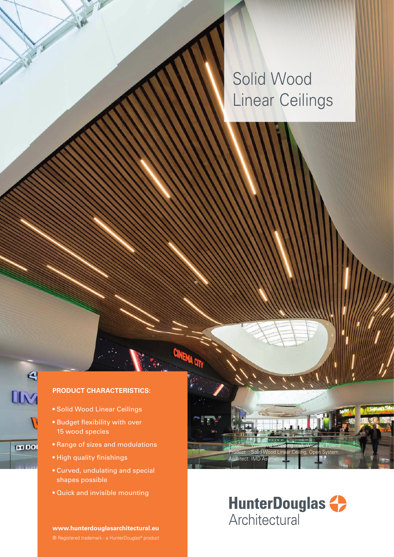# Solid Wood Linear Ceilings

### **PRODUCT CHARACTERISTICS:**

- Solid Wood Linear Ceilings
- Budget flexibility with over 15 wood species
- Range of sizes and modulations
- High quality finishings
- Curved, undulating and special shapes possible
- Quick and invisible mounting

**www.hunterdouglasarchitectural.eu**